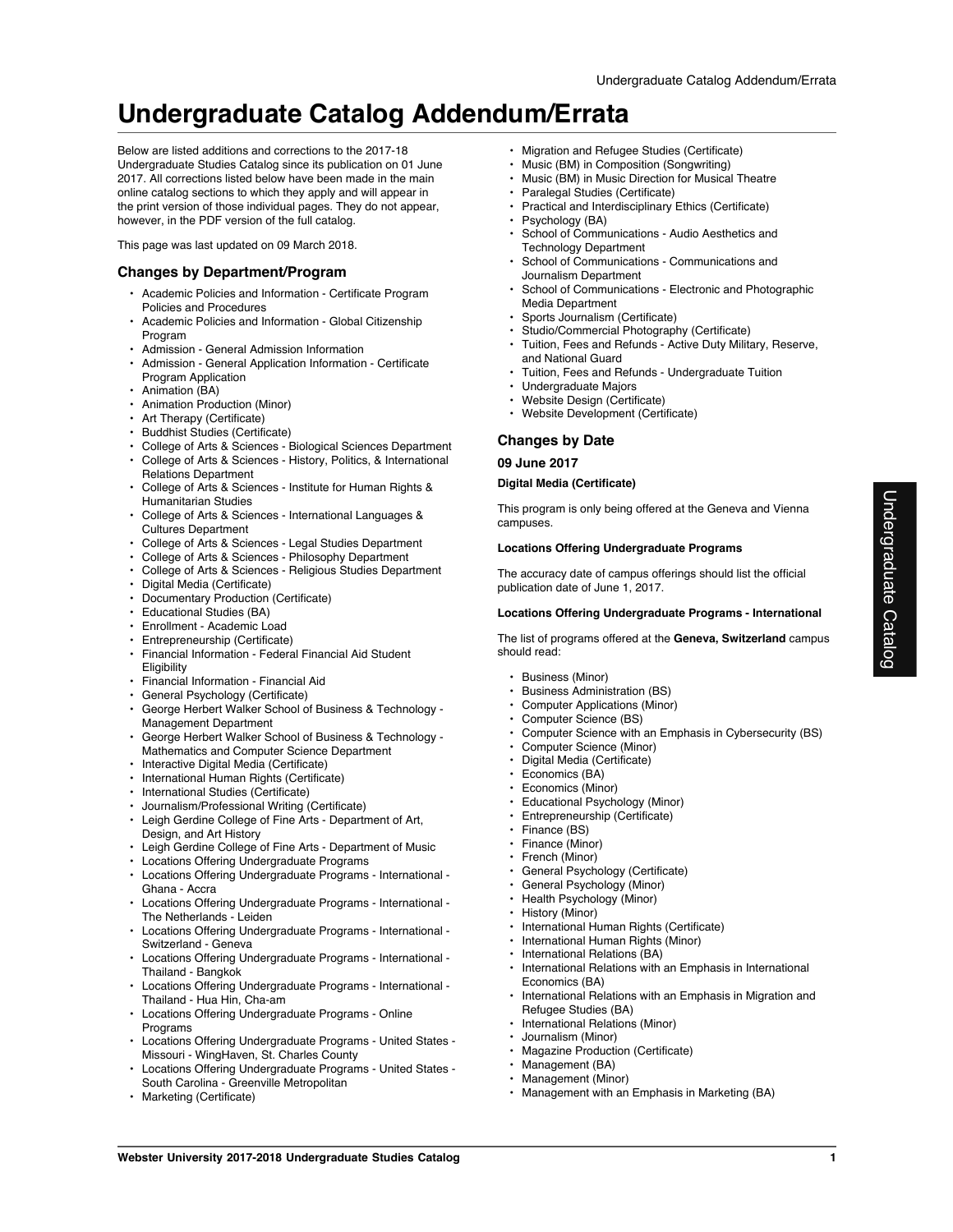Below are listed additions and corrections to the 2017-18 Undergraduate Studies Catalog since its publication on 01 June 2017. All corrections listed below have been made in the main online catalog sections to which they apply and will appear in the print version of those individual pages. They do not appear, however, in the PDF version of the full catalog.

This page was last updated on 09 March 2018.

# **Changes by Department/Program**

- Academic Policies and Information Certificate Program Policies and Procedures
- Academic Policies and Information Global Citizenship Program
- Admission General Admission Information
- Admission General Application Information Certificate Program Application
- Animation (BA)
- Animation Production (Minor)
- Art Therapy (Certificate)
- Buddhist Studies (Certificate)
- College of Arts & Sciences Biological Sciences Department
- College of Arts & Sciences History, Politics, & International Relations Department
- College of Arts & Sciences Institute for Human Rights & Humanitarian Studies
- College of Arts & Sciences International Languages & Cultures Department
- College of Arts & Sciences Legal Studies Department
- College of Arts & Sciences Philosophy Department
- College of Arts & Sciences Religious Studies Department • Digital Media (Certificate)
- Documentary Production (Certificate)
- Educational Studies (BA)
- Enrollment Academic Load
- Entrepreneurship (Certificate)
- Financial Information Federal Financial Aid Student **Eligibility**
- Financial Information Financial Aid
- General Psychology (Certificate)
- George Herbert Walker School of Business & Technology Management Department
- George Herbert Walker School of Business & Technology Mathematics and Computer Science Department
- Interactive Digital Media (Certificate)
- International Human Rights (Certificate)
- International Studies (Certificate)
- Journalism/Professional Writing (Certificate)
- Leigh Gerdine College of Fine Arts Department of Art, Design, and Art History
- Leigh Gerdine College of Fine Arts Department of Music
- Locations Offering Undergraduate Programs
- Locations Offering Undergraduate Programs International Ghana - Accra
- Locations Offering Undergraduate Programs International The Netherlands - Leiden
- Locations Offering Undergraduate Programs International Switzerland - Geneva
- Locations Offering Undergraduate Programs International Thailand - Bangkok
- Locations Offering Undergraduate Programs International Thailand - Hua Hin, Cha-am
- Locations Offering Undergraduate Programs Online **Programs**
- Locations Offering Undergraduate Programs United States Missouri - WingHaven, St. Charles County
- Locations Offering Undergraduate Programs United States South Carolina - Greenville Metropolitan
- Marketing (Certificate)
- Migration and Refugee Studies (Certificate)
- Music (BM) in Composition (Songwriting)
- Music (BM) in Music Direction for Musical Theatre
- Paralegal Studies (Certificate)
- Practical and Interdisciplinary Ethics (Certificate)
- Psychology (BA)
- School of Communications Audio Aesthetics and Technology Department
- School of Communications Communications and Journalism Department
- School of Communications Electronic and Photographic Media Department
- Sports Journalism (Certificate)
- Studio/Commercial Photography (Certificate)
- Tuition, Fees and Refunds Active Duty Military, Reserve, and National Guard
- Tuition, Fees and Refunds Undergraduate Tuition
- Undergraduate Majors
- Website Design (Certificate)
- Website Development (Certificate)

# **Changes by Date**

**09 June 2017**

### **Digital Media (Certificate)**

This program is only being offered at the Geneva and Vienna campuses.

# **Locations Offering Undergraduate Programs**

The accuracy date of campus offerings should list the official publication date of June 1, 2017.

#### **Locations Offering Undergraduate Programs - International**

The list of programs offered at the **Geneva, Switzerland** campus should read:

- Business (Minor)
- Business Administration (BS)
- Computer Applications (Minor)
- Computer Science (BS)
- Computer Science with an Emphasis in Cybersecurity (BS)
- Computer Science (Minor)
- Digital Media (Certificate)
- Economics (BA)
- Economics (Minor)
- Educational Psychology (Minor)
- Entrepreneurship (Certificate)
- Finance (BS)
- Finance (Minor)
- French (Minor)
- General Psychology (Certificate)
- General Psychology (Minor)
- Health Psychology (Minor)
- History (Minor)
- International Human Rights (Certificate)
- International Human Rights (Minor)
- International Relations (BA)
- International Relations with an Emphasis in International Economics (BA)
- International Relations with an Emphasis in Migration and Refugee Studies (BA)
- International Relations (Minor)
- Journalism (Minor)
- Magazine Production (Certificate)
- Management (BA)
- Management (Minor)
- Management with an Emphasis in Marketing (BA)

Undergraduate Catalog

Undergraduate Catalog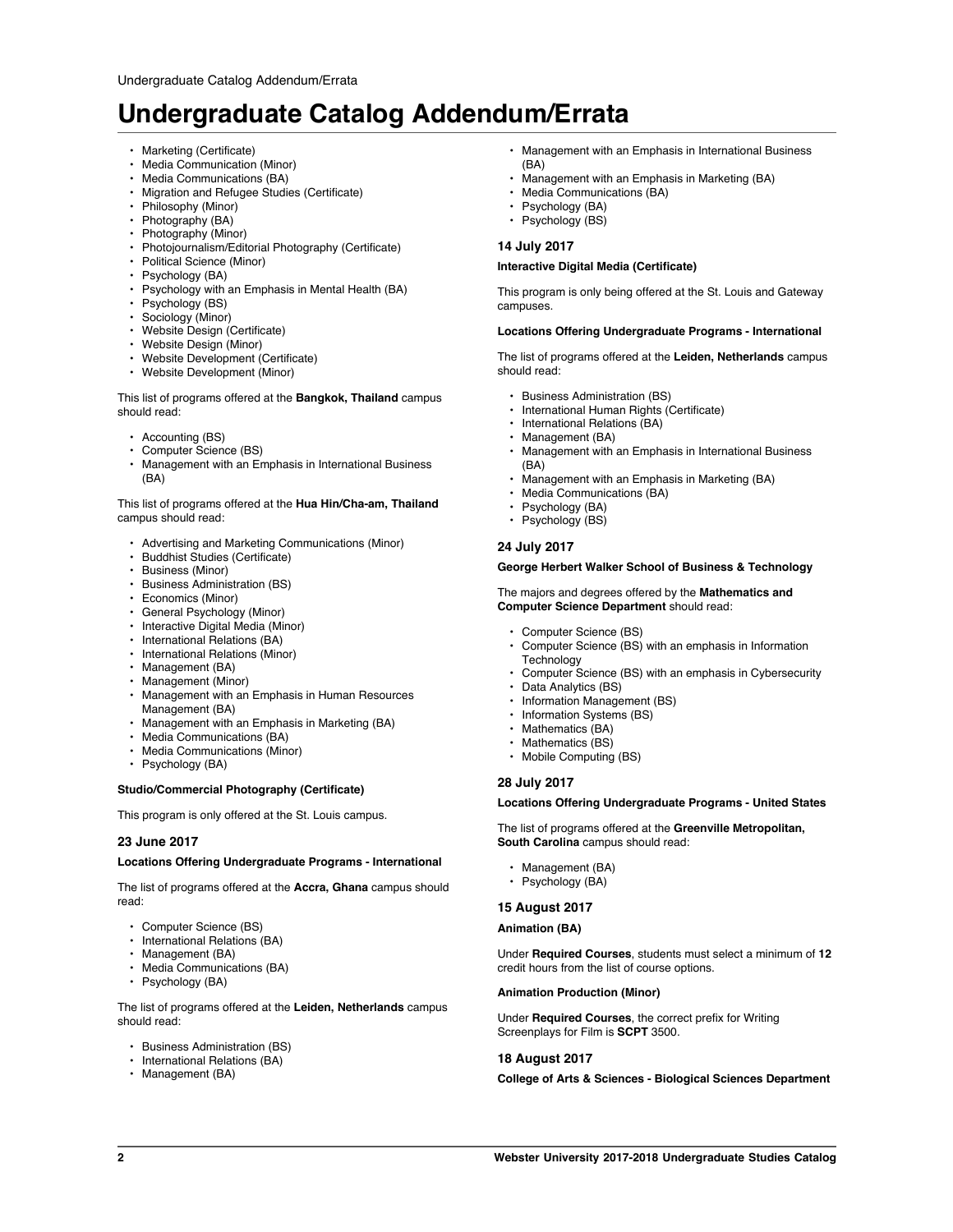- Marketing (Certificate)
- Media Communication (Minor)
- Media Communications (BA)
- Migration and Refugee Studies (Certificate)
- Philosophy (Minor)
- Photography (BA)
- Photography (Minor)
- Photojournalism/Editorial Photography (Certificate)
- Political Science (Minor)
- Psychology (BA)
- Psychology with an Emphasis in Mental Health (BA)
- Psychology (BS)
- Sociology (Minor)
- Website Design (Certificate)
- Website Design (Minor)
- Website Development (Certificate)
- Website Development (Minor)

This list of programs offered at the **Bangkok, Thailand** campus should read:

- Accounting (BS)
- Computer Science (BS)
- Management with an Emphasis in International Business (BA)

This list of programs offered at the **Hua Hin/Cha-am, Thailand** campus should read:

- Advertising and Marketing Communications (Minor)
- Buddhist Studies (Certificate)
- Business (Minor)
- Business Administration (BS)
- Economics (Minor)
- General Psychology (Minor)
- Interactive Digital Media (Minor)
- International Relations (BA)
- International Relations (Minor)
- Management (BA)
- Management (Minor)
- Management with an Emphasis in Human Resources Management (BA)
- Management with an Emphasis in Marketing (BA)
- Media Communications (BA)
- Media Communications (Minor)
- Psychology (BA)

## **Studio/Commercial Photography (Certificate)**

This program is only offered at the St. Louis campus.

### **23 June 2017**

#### **Locations Offering Undergraduate Programs - International**

The list of programs offered at the **Accra, Ghana** campus should read:

- Computer Science (BS)
- International Relations (BA)
- Management (BA)
- Media Communications (BA)
- Psychology (BA)

The list of programs offered at the **Leiden, Netherlands** campus should read:

- Business Administration (BS)
- International Relations (BA)
- Management (BA)
- Management with an Emphasis in International Business (BA)
- Management with an Emphasis in Marketing (BA)
- Media Communications (BA)
- Psychology (BA)
- Psychology (BS)

# **14 July 2017**

### **Interactive Digital Media (Certificate)**

This program is only being offered at the St. Louis and Gateway campuses.

### **Locations Offering Undergraduate Programs - International**

The list of programs offered at the **Leiden, Netherlands** campus should read:

- Business Administration (BS)
- International Human Rights (Certificate)
- International Relations (BA)
- Management (BA)
- Management with an Emphasis in International Business (BA)
- Management with an Emphasis in Marketing (BA)
- Media Communications (BA)
- Psychology (BA)
- Psychology (BS)

# **24 July 2017**

# **George Herbert Walker School of Business & Technology**

#### The majors and degrees offered by the **Mathematics and Computer Science Department** should read:

- Computer Science (BS)
- Computer Science (BS) with an emphasis in Information **Technology**
- Computer Science (BS) with an emphasis in Cybersecurity
- Data Analytics (BS)
- Information Management (BS)
- Information Systems (BS)
- Mathematics (BA)
- Mathematics (BS)
- Mobile Computing (BS)

### **28 July 2017**

#### **Locations Offering Undergraduate Programs - United States**

The list of programs offered at the **Greenville Metropolitan, South Carolina** campus should read:

- Management (BA)
- Psychology (BA)

### **15 August 2017**

#### **Animation (BA)**

Under **Required Courses**, students must select a minimum of **12** credit hours from the list of course options.

#### **Animation Production (Minor)**

Under **Required Courses**, the correct prefix for Writing Screenplays for Film is **SCPT** 3500.

### **18 August 2017**

**College of Arts & Sciences - Biological Sciences Department**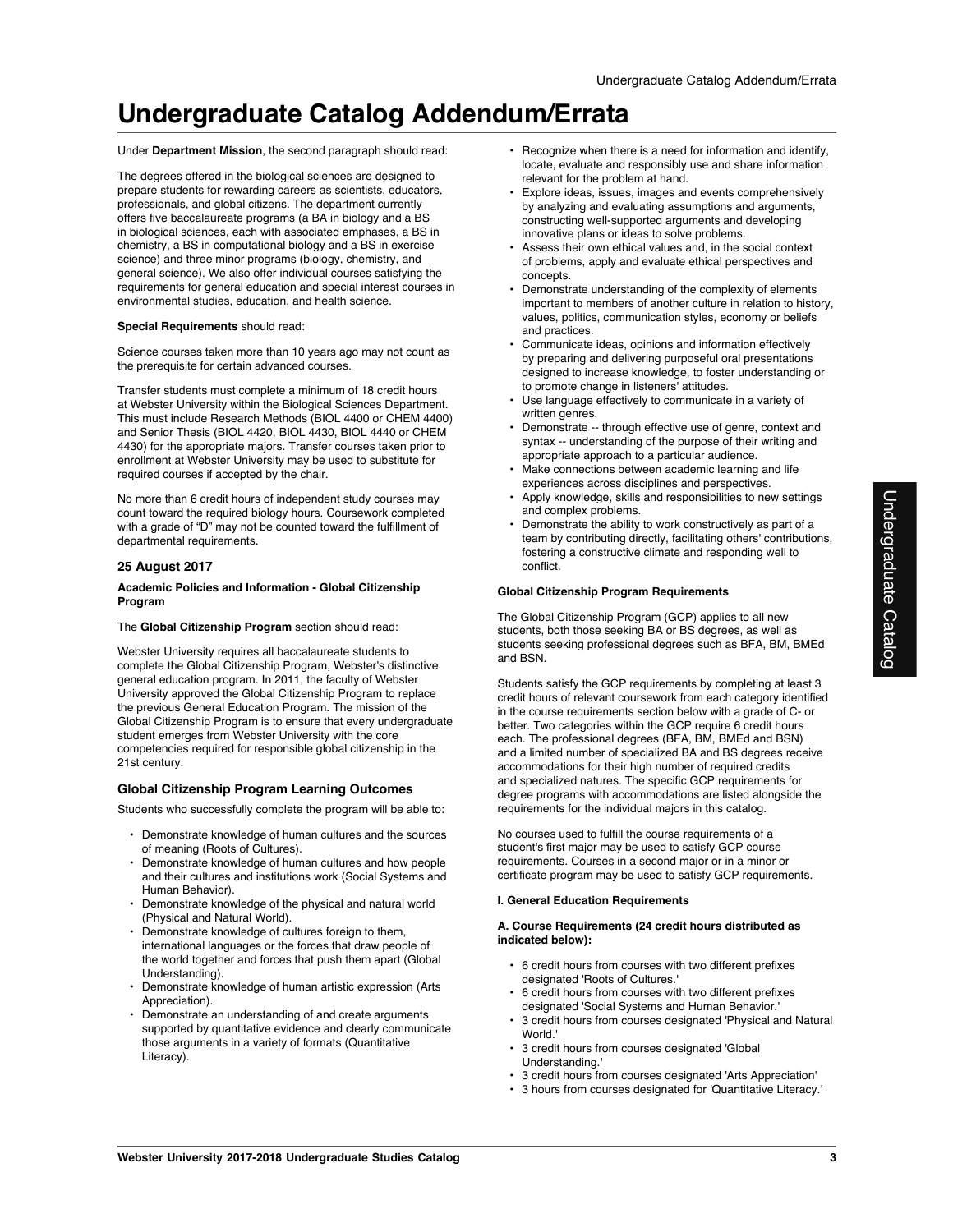Under **Department Mission**, the second paragraph should read:

The degrees offered in the biological sciences are designed to prepare students for rewarding careers as scientists, educators, professionals, and global citizens. The department currently offers five baccalaureate programs (a BA in biology and a BS in biological sciences, each with associated emphases, a BS in chemistry, a BS in computational biology and a BS in exercise science) and three minor programs (biology, chemistry, and general science). We also offer individual courses satisfying the requirements for general education and special interest courses in environmental studies, education, and health science.

### **Special Requirements** should read:

Science courses taken more than 10 years ago may not count as the prerequisite for certain advanced courses.

Transfer students must complete a minimum of 18 credit hours at Webster University within the Biological Sciences Department. This must include Research Methods (BIOL 4400 or CHEM 4400) and Senior Thesis (BIOL 4420, BIOL 4430, BIOL 4440 or CHEM 4430) for the appropriate majors. Transfer courses taken prior to enrollment at Webster University may be used to substitute for required courses if accepted by the chair.

No more than 6 credit hours of independent study courses may count toward the required biology hours. Coursework completed with a grade of "D" may not be counted toward the fulfillment of departmental requirements.

### **25 August 2017**

### **Academic Policies and Information - Global Citizenship Program**

#### The **Global Citizenship Program** section should read:

Webster University requires all baccalaureate students to complete the Global Citizenship Program, Webster's distinctive general education program. In 2011, the faculty of Webster University approved the Global Citizenship Program to replace the previous General Education Program. The mission of the Global Citizenship Program is to ensure that every undergraduate student emerges from Webster University with the core competencies required for responsible global citizenship in the 21st century.

### **Global Citizenship Program Learning Outcomes**

Students who successfully complete the program will be able to:

- Demonstrate knowledge of human cultures and the sources of meaning (Roots of Cultures).
- Demonstrate knowledge of human cultures and how people and their cultures and institutions work (Social Systems and Human Behavior).
- Demonstrate knowledge of the physical and natural world (Physical and Natural World).
- Demonstrate knowledge of cultures foreign to them, international languages or the forces that draw people of the world together and forces that push them apart (Global Understanding).
- Demonstrate knowledge of human artistic expression (Arts Appreciation).
- Demonstrate an understanding of and create arguments supported by quantitative evidence and clearly communicate those arguments in a variety of formats (Quantitative Literacy).
- Recognize when there is a need for information and identify, locate, evaluate and responsibly use and share information relevant for the problem at hand.
- Explore ideas, issues, images and events comprehensively by analyzing and evaluating assumptions and arguments, constructing well-supported arguments and developing innovative plans or ideas to solve problems.
- Assess their own ethical values and, in the social context of problems, apply and evaluate ethical perspectives and concepts.
- Demonstrate understanding of the complexity of elements important to members of another culture in relation to history, values, politics, communication styles, economy or beliefs and practices.
- Communicate ideas, opinions and information effectively by preparing and delivering purposeful oral presentations designed to increase knowledge, to foster understanding or to promote change in listeners' attitudes.
- Use language effectively to communicate in a variety of written genres.
- Demonstrate -- through effective use of genre, context and syntax -- understanding of the purpose of their writing and appropriate approach to a particular audience.
- Make connections between academic learning and life experiences across disciplines and perspectives.
- Apply knowledge, skills and responsibilities to new settings and complex problems.
- Demonstrate the ability to work constructively as part of a team by contributing directly, facilitating others' contributions, fostering a constructive climate and responding well to conflict.

#### **Global Citizenship Program Requirements**

The Global Citizenship Program (GCP) applies to all new students, both those seeking BA or BS degrees, as well as students seeking professional degrees such as BFA, BM, BMEd and BSN.

Students satisfy the GCP requirements by completing at least 3 credit hours of relevant coursework from each category identified in the course requirements section below with a grade of C- or better. Two categories within the GCP require 6 credit hours each. The professional degrees (BFA, BM, BMEd and BSN) and a limited number of specialized BA and BS degrees receive accommodations for their high number of required credits and specialized natures. The specific GCP requirements for degree programs with accommodations are listed alongside the requirements for the individual majors in this catalog.

No courses used to fulfill the course requirements of a student's first major may be used to satisfy GCP course requirements. Courses in a second major or in a minor or certificate program may be used to satisfy GCP requirements.

#### **I. General Education Requirements**

#### **A. Course Requirements (24 credit hours distributed as indicated below):**

- 6 credit hours from courses with two different prefixes designated 'Roots of Cultures.'
- 6 credit hours from courses with two different prefixes designated 'Social Systems and Human Behavior.'
- 3 credit hours from courses designated 'Physical and Natural World.'
- 3 credit hours from courses designated 'Global Understanding.'
- 3 credit hours from courses designated 'Arts Appreciation'
- 3 hours from courses designated for 'Quantitative Literacy.'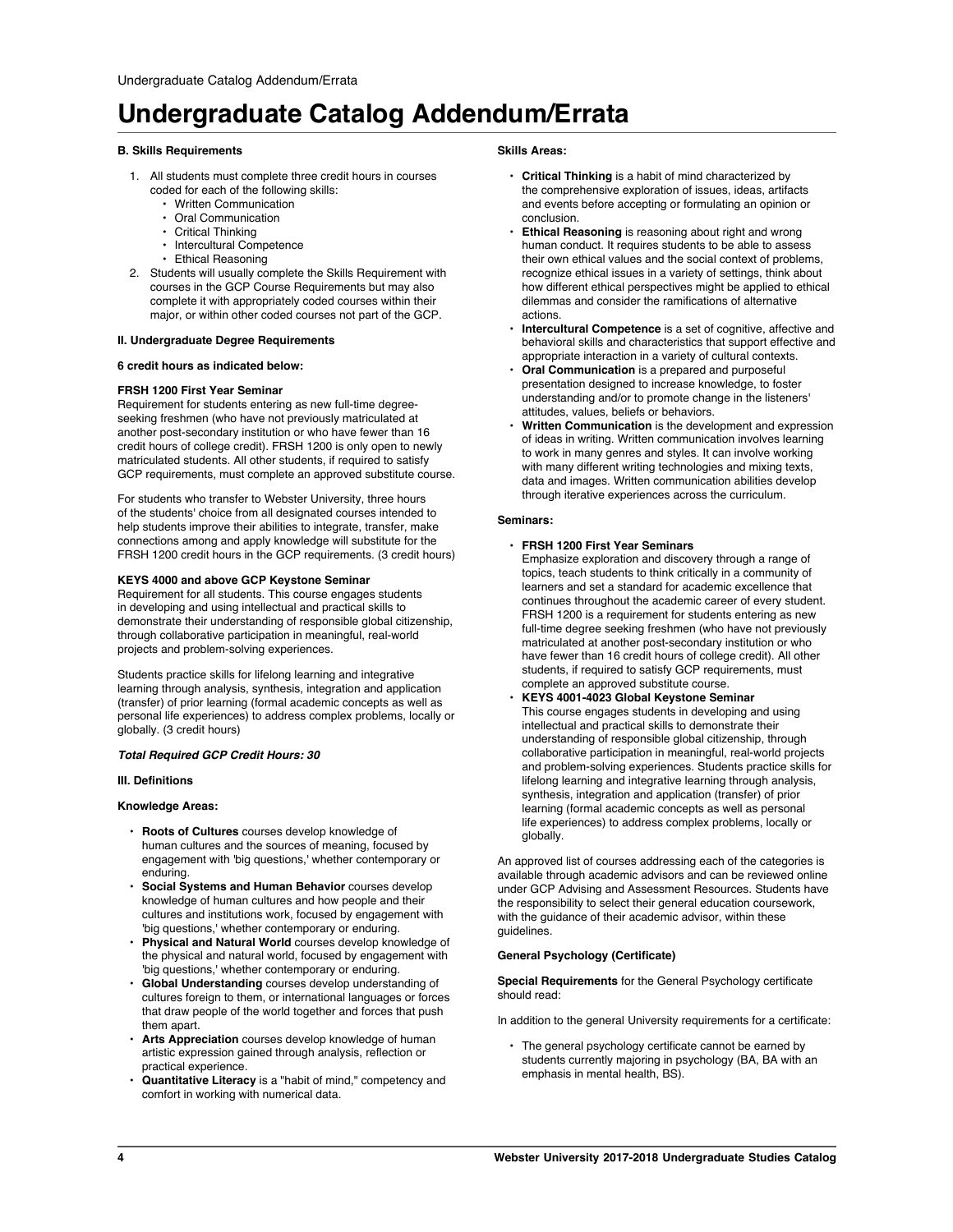# **B. Skills Requirements**

- 1. All students must complete three credit hours in courses coded for each of the following skills:
	- Written Communication
	- Oral Communication
	- Critical Thinking
	- Intercultural Competence
	- Ethical Reasoning
- 2. Students will usually complete the Skills Requirement with courses in the GCP Course Requirements but may also complete it with appropriately coded courses within their major, or within other coded courses not part of the GCP.

# **II. Undergraduate Degree Requirements**

## **6 credit hours as indicated below:**

# **FRSH 1200 First Year Seminar**

Requirement for students entering as new full-time degreeseeking freshmen (who have not previously matriculated at another post-secondary institution or who have fewer than 16 credit hours of college credit). FRSH 1200 is only open to newly matriculated students. All other students, if required to satisfy GCP requirements, must complete an approved substitute course.

For students who transfer to Webster University, three hours of the students' choice from all designated courses intended to help students improve their abilities to integrate, transfer, make connections among and apply knowledge will substitute for the FRSH 1200 credit hours in the GCP requirements. (3 credit hours)

# **KEYS 4000 and above GCP Keystone Seminar**

Requirement for all students. This course engages students in developing and using intellectual and practical skills to demonstrate their understanding of responsible global citizenship, through collaborative participation in meaningful, real-world projects and problem-solving experiences.

Students practice skills for lifelong learning and integrative learning through analysis, synthesis, integration and application (transfer) of prior learning (formal academic concepts as well as personal life experiences) to address complex problems, locally or globally. (3 credit hours)

### *Total Required GCP Credit Hours: 30*

### **III. Definitions**

# **Knowledge Areas:**

- **Roots of Cultures** courses develop knowledge of human cultures and the sources of meaning, focused by engagement with 'big questions,' whether contemporary or enduring.
- **Social Systems and Human Behavior** courses develop knowledge of human cultures and how people and their cultures and institutions work, focused by engagement with 'big questions,' whether contemporary or enduring.
- **Physical and Natural World** courses develop knowledge of the physical and natural world, focused by engagement with 'big questions,' whether contemporary or enduring.
- **Global Understanding** courses develop understanding of cultures foreign to them, or international languages or forces that draw people of the world together and forces that push them anart.
- Arts Appreciation courses develop knowledge of human artistic expression gained through analysis, reflection or practical experience.
- **Quantitative Literacy** is a "habit of mind," competency and comfort in working with numerical data.

# **Skills Areas:**

- **Critical Thinking** is a habit of mind characterized by the comprehensive exploration of issues, ideas, artifacts and events before accepting or formulating an opinion or conclusion.
- **Ethical Reasoning** is reasoning about right and wrong human conduct. It requires students to be able to assess their own ethical values and the social context of problems, recognize ethical issues in a variety of settings, think about how different ethical perspectives might be applied to ethical dilemmas and consider the ramifications of alternative actions.
- **Intercultural Competence** is a set of cognitive, affective and behavioral skills and characteristics that support effective and appropriate interaction in a variety of cultural contexts.
- **Oral Communication** is a prepared and purposeful presentation designed to increase knowledge, to foster understanding and/or to promote change in the listeners' attitudes, values, beliefs or behaviors.
- **Written Communication** is the development and expression of ideas in writing. Written communication involves learning to work in many genres and styles. It can involve working with many different writing technologies and mixing texts, data and images. Written communication abilities develop through iterative experiences across the curriculum.

### **Seminars:**

### • **FRSH 1200 First Year Seminars**

Emphasize exploration and discovery through a range of topics, teach students to think critically in a community of learners and set a standard for academic excellence that continues throughout the academic career of every student. FRSH 1200 is a requirement for students entering as new full-time degree seeking freshmen (who have not previously matriculated at another post-secondary institution or who have fewer than 16 credit hours of college credit). All other students, if required to satisfy GCP requirements, must complete an approved substitute course.

• **KEYS 4001-4023 Global Keystone Seminar** This course engages students in developing and using intellectual and practical skills to demonstrate their understanding of responsible global citizenship, through collaborative participation in meaningful, real-world projects and problem-solving experiences. Students practice skills for lifelong learning and integrative learning through analysis, synthesis, integration and application (transfer) of prior learning (formal academic concepts as well as personal life experiences) to address complex problems, locally or globally.

An approved list of courses addressing each of the categories is available through academic advisors and can be reviewed online under GCP Advising and Assessment Resources. Students have the responsibility to select their general education coursework, with the guidance of their academic advisor, within these guidelines.

### **General Psychology (Certificate)**

**Special Requirements** for the General Psychology certificate should read:

In addition to the general University requirements for a certificate:

• The general psychology certificate cannot be earned by students currently majoring in psychology (BA, BA with an emphasis in mental health, BS).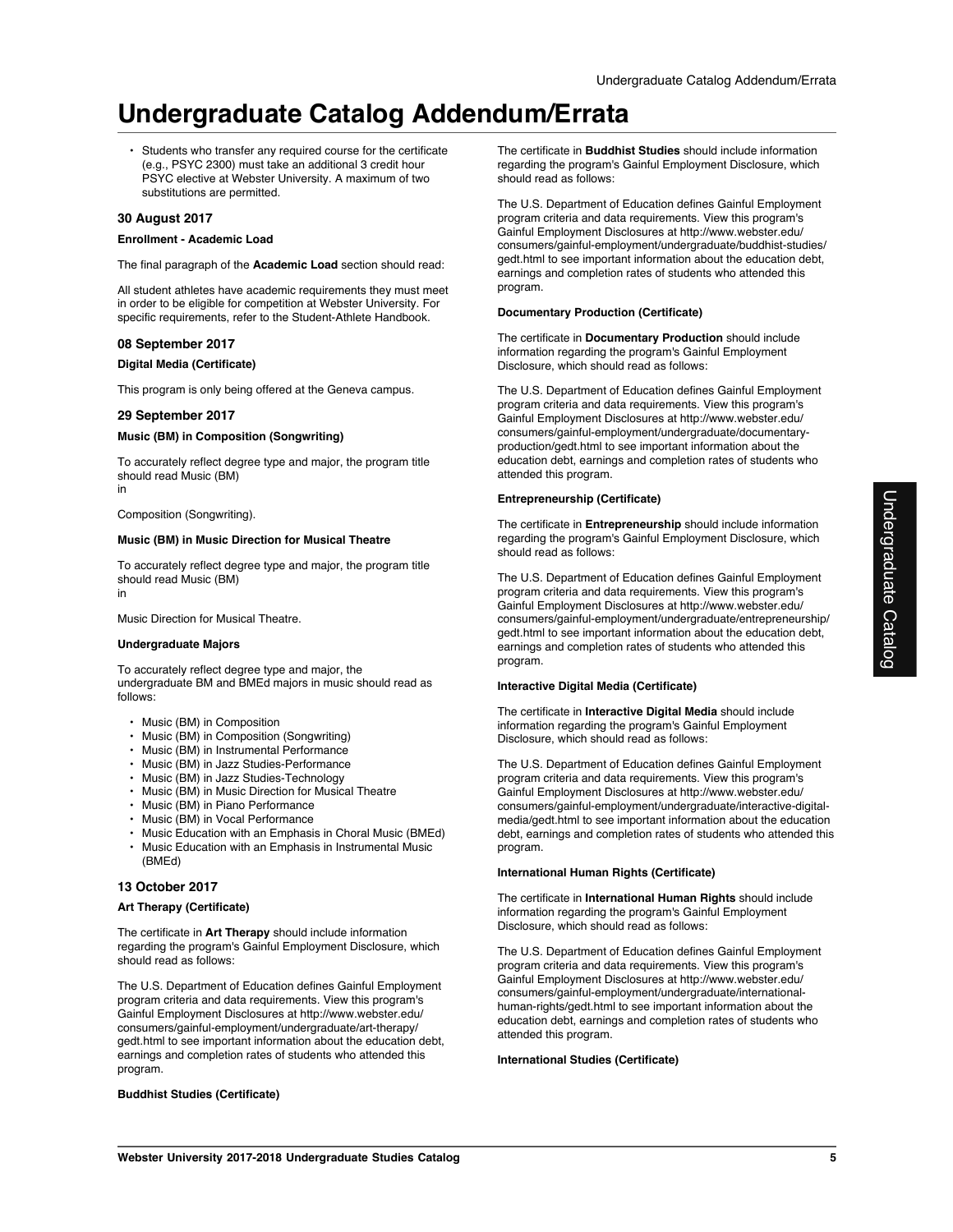• Students who transfer any required course for the certificate (e.g., PSYC 2300) must take an additional 3 credit hour PSYC elective at Webster University. A maximum of two substitutions are permitted.

# **30 August 2017**

#### **Enrollment - Academic Load**

The final paragraph of the **Academic Load** section should read:

All student athletes have academic requirements they must meet in order to be eligible for competition at Webster University. For specific requirements, refer to the Student-Athlete Handbook.

### **08 September 2017**

#### **Digital Media (Certificate)**

This program is only being offered at the Geneva campus.

#### **29 September 2017**

#### **Music (BM) in Composition (Songwriting)**

To accurately reflect degree type and major, the program title should read Music (BM) in

Composition (Songwriting).

#### **Music (BM) in Music Direction for Musical Theatre**

To accurately reflect degree type and major, the program title should read Music (BM) in

Music Direction for Musical Theatre.

#### **Undergraduate Majors**

To accurately reflect degree type and major, the undergraduate BM and BMEd majors in music should read as follows:

- Music (BM) in Composition
- Music (BM) in Composition (Songwriting)
- Music (BM) in Instrumental Performance
- Music (BM) in Jazz Studies-Performance
- Music (BM) in Jazz Studies-Technology
- Music (BM) in Music Direction for Musical Theatre
- Music (BM) in Piano Performance
- Music (BM) in Vocal Performance
- Music Education with an Emphasis in Choral Music (BMEd)
- Music Education with an Emphasis in Instrumental Music (BMEd)

# **13 October 2017**

# **Art Therapy (Certificate)**

The certificate in **Art Therapy** should include information regarding the program's Gainful Employment Disclosure, which should read as follows:

The U.S. Department of Education defines Gainful Employment program criteria and data requirements. View this program's Gainful Employment Disclosures at http://www.webster.edu/ consumers/gainful-employment/undergraduate/art-therapy/ gedt.html to see important information about the education debt, earnings and completion rates of students who attended this program.

#### **Buddhist Studies (Certificate)**

The certificate in **Buddhist Studies** should include information regarding the program's Gainful Employment Disclosure, which should read as follows:

The U.S. Department of Education defines Gainful Employment program criteria and data requirements. View this program's Gainful Employment Disclosures at http://www.webster.edu/ consumers/gainful-employment/undergraduate/buddhist-studies/ gedt.html to see important information about the education debt, earnings and completion rates of students who attended this program.

#### **Documentary Production (Certificate)**

The certificate in **Documentary Production** should include information regarding the program's Gainful Employment Disclosure, which should read as follows:

The U.S. Department of Education defines Gainful Employment program criteria and data requirements. View this program's Gainful Employment Disclosures at http://www.webster.edu/ consumers/gainful-employment/undergraduate/documentaryproduction/gedt.html to see important information about the education debt, earnings and completion rates of students who attended this program.

#### **Entrepreneurship (Certificate)**

The certificate in **Entrepreneurship** should include information regarding the program's Gainful Employment Disclosure, which should read as follows:

The U.S. Department of Education defines Gainful Employment program criteria and data requirements. View this program's Gainful Employment Disclosures at http://www.webster.edu/ consumers/gainful-employment/undergraduate/entrepreneurship/ gedt.html to see important information about the education debt, earnings and completion rates of students who attended this program.

#### **Interactive Digital Media (Certificate)**

The certificate in **Interactive Digital Media** should include information regarding the program's Gainful Employment Disclosure, which should read as follows:

The U.S. Department of Education defines Gainful Employment program criteria and data requirements. View this program's Gainful Employment Disclosures at http://www.webster.edu/ consumers/gainful-employment/undergraduate/interactive-digitalmedia/gedt.html to see important information about the education debt, earnings and completion rates of students who attended this program.

#### **International Human Rights (Certificate)**

The certificate in **International Human Rights** should include information regarding the program's Gainful Employment Disclosure, which should read as follows:

The U.S. Department of Education defines Gainful Employment program criteria and data requirements. View this program's Gainful Employment Disclosures at http://www.webster.edu/ consumers/gainful-employment/undergraduate/internationalhuman-rights/gedt.html to see important information about the education debt, earnings and completion rates of students who attended this program.

#### **International Studies (Certificate)**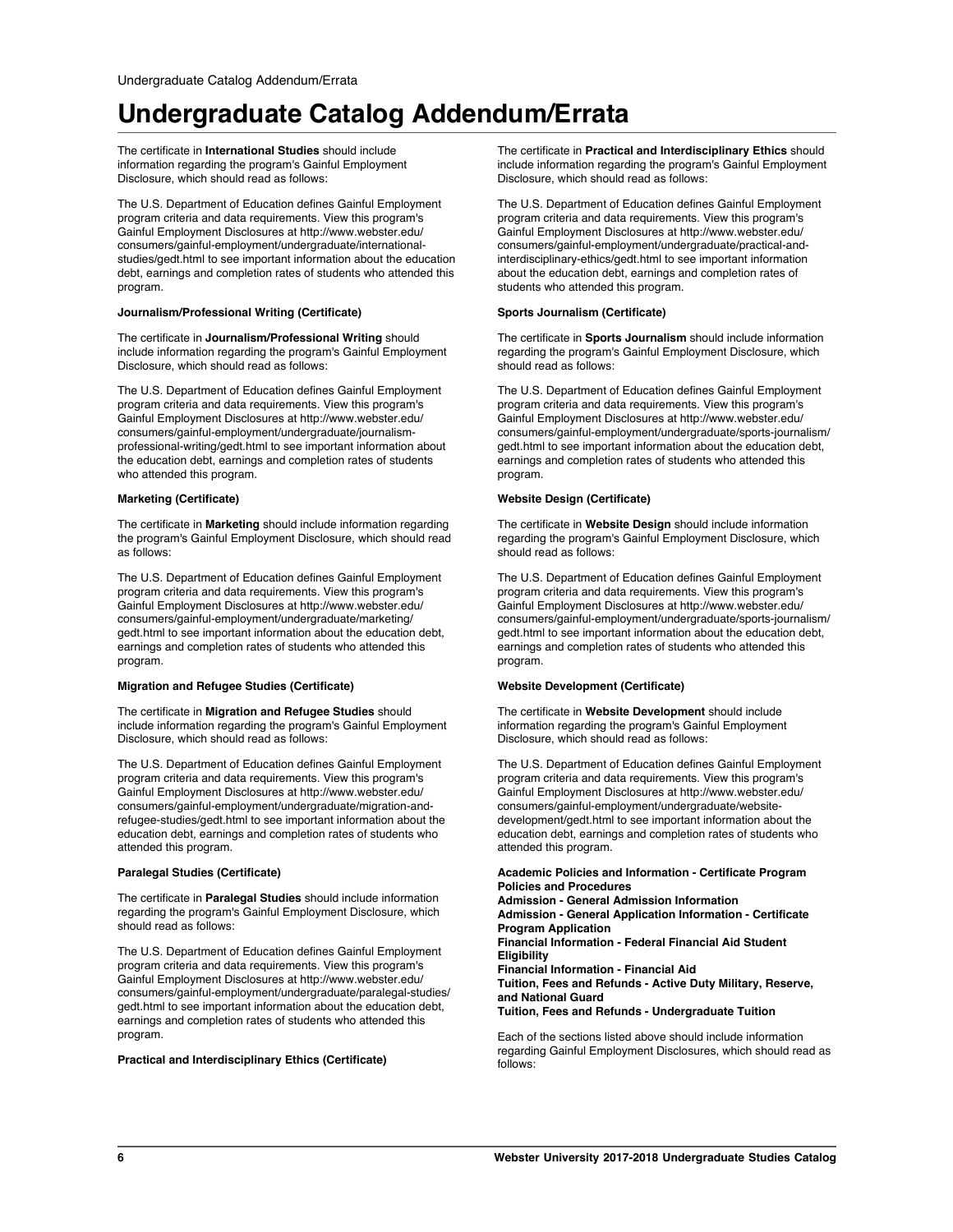The certificate in **International Studies** should include information regarding the program's Gainful Employment Disclosure, which should read as follows:

The U.S. Department of Education defines Gainful Employment program criteria and data requirements. View this program's Gainful Employment Disclosures at http://www.webster.edu/ consumers/gainful-employment/undergraduate/internationalstudies/gedt.html to see important information about the education debt, earnings and completion rates of students who attended this program.

#### **Journalism/Professional Writing (Certificate)**

The certificate in **Journalism/Professional Writing** should include information regarding the program's Gainful Employment Disclosure, which should read as follows:

The U.S. Department of Education defines Gainful Employment program criteria and data requirements. View this program's Gainful Employment Disclosures at http://www.webster.edu/ consumers/gainful-employment/undergraduate/journalismprofessional-writing/gedt.html to see important information about the education debt, earnings and completion rates of students who attended this program.

#### **Marketing (Certificate)**

The certificate in **Marketing** should include information regarding the program's Gainful Employment Disclosure, which should read as follows:

The U.S. Department of Education defines Gainful Employment program criteria and data requirements. View this program's Gainful Employment Disclosures at http://www.webster.edu/ consumers/gainful-employment/undergraduate/marketing/ gedt.html to see important information about the education debt, earnings and completion rates of students who attended this program.

#### **Migration and Refugee Studies (Certificate)**

The certificate in **Migration and Refugee Studies** should include information regarding the program's Gainful Employment Disclosure, which should read as follows:

The U.S. Department of Education defines Gainful Employment program criteria and data requirements. View this program's Gainful Employment Disclosures at http://www.webster.edu/ consumers/gainful-employment/undergraduate/migration-andrefugee-studies/gedt.html to see important information about the education debt, earnings and completion rates of students who attended this program.

#### **Paralegal Studies (Certificate)**

The certificate in **Paralegal Studies** should include information regarding the program's Gainful Employment Disclosure, which should read as follows:

The U.S. Department of Education defines Gainful Employment program criteria and data requirements. View this program's Gainful Employment Disclosures at http://www.webster.edu/ consumers/gainful-employment/undergraduate/paralegal-studies/ gedt.html to see important information about the education debt, earnings and completion rates of students who attended this program.

**Practical and Interdisciplinary Ethics (Certificate)**

The certificate in **Practical and Interdisciplinary Ethics** should include information regarding the program's Gainful Employment Disclosure, which should read as follows:

The U.S. Department of Education defines Gainful Employment program criteria and data requirements. View this program's Gainful Employment Disclosures at http://www.webster.edu/ consumers/gainful-employment/undergraduate/practical-andinterdisciplinary-ethics/gedt.html to see important information about the education debt, earnings and completion rates of students who attended this program.

### **Sports Journalism (Certificate)**

The certificate in **Sports Journalism** should include information regarding the program's Gainful Employment Disclosure, which should read as follows:

The U.S. Department of Education defines Gainful Employment program criteria and data requirements. View this program's Gainful Employment Disclosures at http://www.webster.edu/ consumers/gainful-employment/undergraduate/sports-journalism/ gedt.html to see important information about the education debt, earnings and completion rates of students who attended this program.

#### **Website Design (Certificate)**

The certificate in **Website Design** should include information regarding the program's Gainful Employment Disclosure, which should read as follows:

The U.S. Department of Education defines Gainful Employment program criteria and data requirements. View this program's Gainful Employment Disclosures at http://www.webster.edu/ consumers/gainful-employment/undergraduate/sports-journalism/ gedt.html to see important information about the education debt, earnings and completion rates of students who attended this program.

### **Website Development (Certificate)**

The certificate in **Website Development** should include information regarding the program's Gainful Employment Disclosure, which should read as follows:

The U.S. Department of Education defines Gainful Employment program criteria and data requirements. View this program's Gainful Employment Disclosures at http://www.webster.edu/ consumers/gainful-employment/undergraduate/websitedevelopment/gedt.html to see important information about the education debt, earnings and completion rates of students who attended this program.

**Academic Policies and Information - Certificate Program Policies and Procedures Admission - General Admission Information Admission - General Application Information - Certificate Program Application Financial Information - Federal Financial Aid Student Eligibility Financial Information - Financial Aid Tuition, Fees and Refunds - Active Duty Military, Reserve, and National Guard Tuition, Fees and Refunds - Undergraduate Tuition**

Each of the sections listed above should include information regarding Gainful Employment Disclosures, which should read as follows: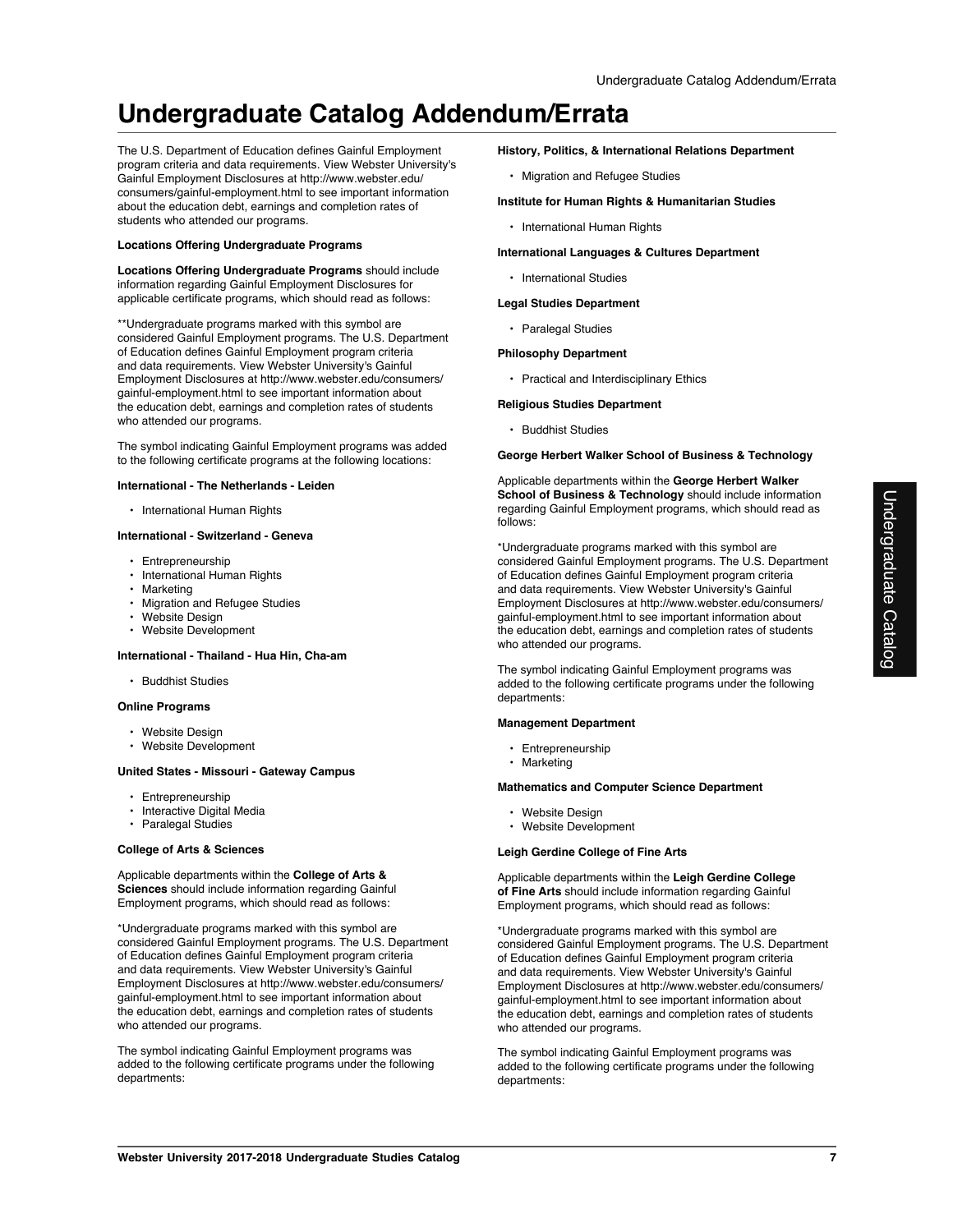The U.S. Department of Education defines Gainful Employment program criteria and data requirements. View Webster University's Gainful Employment Disclosures at http://www.webster.edu/ consumers/gainful-employment.html to see important information about the education debt, earnings and completion rates of students who attended our programs.

#### **Locations Offering Undergraduate Programs**

**Locations Offering Undergraduate Programs** should include information regarding Gainful Employment Disclosures for applicable certificate programs, which should read as follows:

\*\*Undergraduate programs marked with this symbol are considered Gainful Employment programs. The U.S. Department of Education defines Gainful Employment program criteria and data requirements. View Webster University's Gainful Employment Disclosures at http://www.webster.edu/consumers/ gainful-employment.html to see important information about the education debt, earnings and completion rates of students who attended our programs.

The symbol indicating Gainful Employment programs was added to the following certificate programs at the following locations:

#### **International - The Netherlands - Leiden**

• International Human Rights

#### **International - Switzerland - Geneva**

- Entrepreneurship
- International Human Rights
- Marketing
- Migration and Refugee Studies
- Website Design
- Website Development

#### **International - Thailand - Hua Hin, Cha-am**

• Buddhist Studies

#### **Online Programs**

- Website Design
- Website Development

#### **United States - Missouri - Gateway Campus**

- Entrepreneurship
- Interactive Digital Media
- Paralegal Studies

#### **College of Arts & Sciences**

Applicable departments within the **College of Arts & Sciences** should include information regarding Gainful Employment programs, which should read as follows:

\*Undergraduate programs marked with this symbol are considered Gainful Employment programs. The U.S. Department of Education defines Gainful Employment program criteria and data requirements. View Webster University's Gainful Employment Disclosures at http://www.webster.edu/consumers/ gainful-employment.html to see important information about the education debt, earnings and completion rates of students who attended our programs.

The symbol indicating Gainful Employment programs was added to the following certificate programs under the following departments:

#### **History, Politics, & International Relations Department**

- Migration and Refugee Studies
- **Institute for Human Rights & Humanitarian Studies**
	- International Human Rights

# **International Languages & Cultures Department**

• International Studies

#### **Legal Studies Department**

• Paralegal Studies

### **Philosophy Department**

• Practical and Interdisciplinary Ethics

#### **Religious Studies Department**

• Buddhist Studies

# **George Herbert Walker School of Business & Technology**

Applicable departments within the **George Herbert Walker School of Business & Technology** should include information regarding Gainful Employment programs, which should read as follows:

\*Undergraduate programs marked with this symbol are considered Gainful Employment programs. The U.S. Department of Education defines Gainful Employment program criteria and data requirements. View Webster University's Gainful Employment Disclosures at http://www.webster.edu/consumers/ gainful-employment.html to see important information about the education debt, earnings and completion rates of students who attended our programs.

The symbol indicating Gainful Employment programs was added to the following certificate programs under the following departments:

#### **Management Department**

- Entrepreneurship
- Marketing

#### **Mathematics and Computer Science Department**

- Website Design
- Website Development

#### **Leigh Gerdine College of Fine Arts**

Applicable departments within the **Leigh Gerdine College of Fine Arts** should include information regarding Gainful Employment programs, which should read as follows:

\*Undergraduate programs marked with this symbol are considered Gainful Employment programs. The U.S. Department of Education defines Gainful Employment program criteria and data requirements. View Webster University's Gainful Employment Disclosures at http://www.webster.edu/consumers/ gainful-employment.html to see important information about the education debt, earnings and completion rates of students who attended our programs.

The symbol indicating Gainful Employment programs was added to the following certificate programs under the following departments: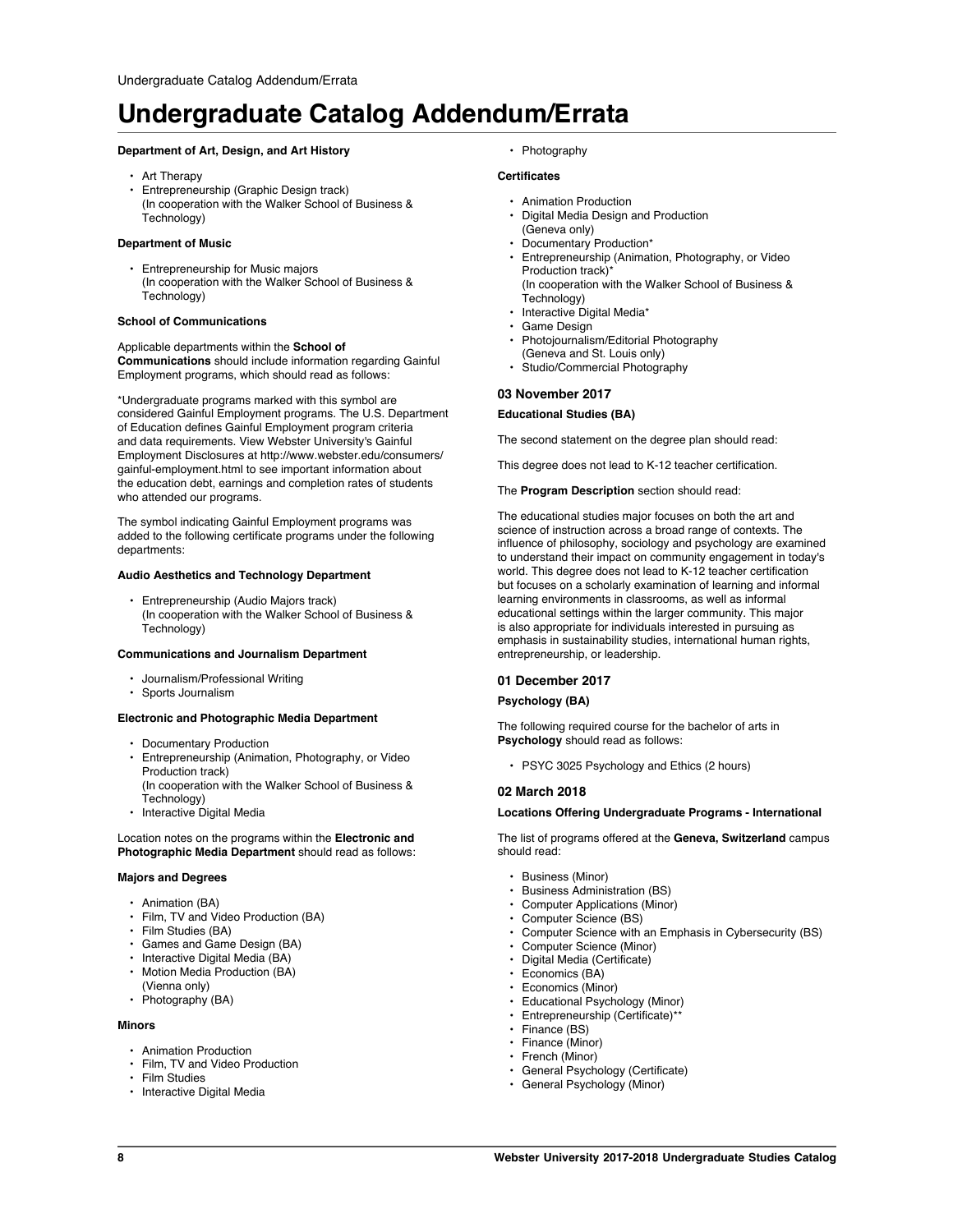# **Department of Art, Design, and Art History**

- Art Therapy
- Entrepreneurship (Graphic Design track) (In cooperation with the Walker School of Business & Technology)

#### **Department of Music**

• Entrepreneurship for Music majors (In cooperation with the Walker School of Business & Technology)

#### **School of Communications**

Applicable departments within the **School of Communications** should include information regarding Gainful Employment programs, which should read as follows:

\*Undergraduate programs marked with this symbol are considered Gainful Employment programs. The U.S. Department of Education defines Gainful Employment program criteria and data requirements. View Webster University's Gainful Employment Disclosures at http://www.webster.edu/consumers/ gainful-employment.html to see important information about the education debt, earnings and completion rates of students who attended our programs.

The symbol indicating Gainful Employment programs was added to the following certificate programs under the following departments:

#### **Audio Aesthetics and Technology Department**

• Entrepreneurship (Audio Majors track) (In cooperation with the Walker School of Business & Technology)

#### **Communications and Journalism Department**

- Journalism/Professional Writing
- Sports Journalism

#### **Electronic and Photographic Media Department**

- Documentary Production
- Entrepreneurship (Animation, Photography, or Video Production track)
- (In cooperation with the Walker School of Business & Technology)
- Interactive Digital Media

Location notes on the programs within the **Electronic and Photographic Media Department** should read as follows:

#### **Majors and Degrees**

- Animation (BA)
- Film, TV and Video Production (BA)
- Film Studies (BA)
- Games and Game Design (BA)
- Interactive Digital Media (BA)
- Motion Media Production (BA) (Vienna only)
- Photography (BA)

#### **Minors**

- Animation Production
- Film, TV and Video Production
- Film Studies
- Interactive Digital Media

• Photography

# **Certificates**

- Animation Production
- Digital Media Design and Production
- (Geneva only)
- Documentary Production\*
- Entrepreneurship (Animation, Photography, or Video Production track)\*
	- (In cooperation with the Walker School of Business & Technology)
- Interactive Digital Media\*
- Game Design
- Photojournalism/Editorial Photography (Geneva and St. Louis only)
- Studio/Commercial Photography

### **03 November 2017**

### **Educational Studies (BA)**

The second statement on the degree plan should read:

This degree does not lead to K-12 teacher certification.

#### The **Program Description** section should read:

The educational studies major focuses on both the art and science of instruction across a broad range of contexts. The influence of philosophy, sociology and psychology are examined to understand their impact on community engagement in today's world. This degree does not lead to K-12 teacher certification but focuses on a scholarly examination of learning and informal learning environments in classrooms, as well as informal educational settings within the larger community. This major is also appropriate for individuals interested in pursuing as emphasis in sustainability studies, international human rights, entrepreneurship, or leadership.

### **01 December 2017**

#### **Psychology (BA)**

The following required course for the bachelor of arts in **Psychology** should read as follows:

• PSYC 3025 Psychology and Ethics (2 hours)

#### **02 March 2018**

#### **Locations Offering Undergraduate Programs - International**

The list of programs offered at the **Geneva, Switzerland** campus should read:

- Business (Minor)
- Business Administration (BS)
- Computer Applications (Minor)
- Computer Science (BS)
- Computer Science with an Emphasis in Cybersecurity (BS)
- Computer Science (Minor)
- Digital Media (Certificate)
- Economics (BA)
- Economics (Minor)
- Educational Psychology (Minor)
- Entrepreneurship (Certificate)\*\*
- Finance (BS)
- Finance (Minor)
- French (Minor)
- General Psychology (Certificate)
- General Psychology (Minor)